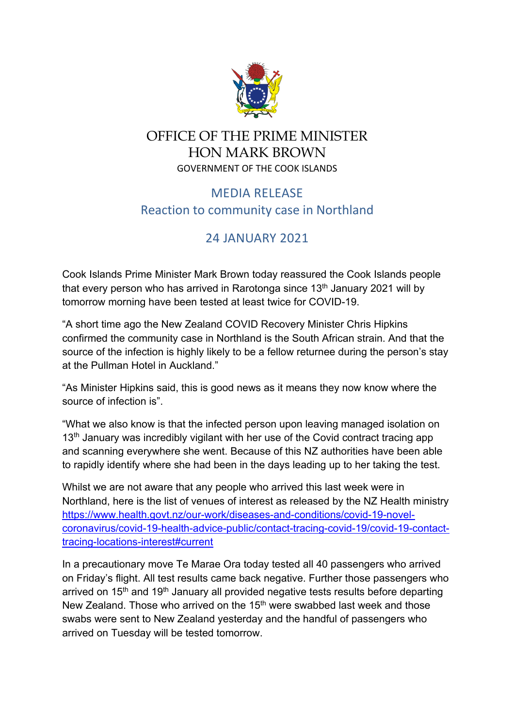

## OFFICE OF THE PRIME MINISTER HON MARK BROWN GOVERNMENT OF THE COOK ISLANDS

## MEDIA RELEASE Reaction to community case in Northland

## 24 JANUARY 2021

Cook Islands Prime Minister Mark Brown today reassured the Cook Islands people that every person who has arrived in Rarotonga since  $13<sup>th</sup>$  January 2021 will by tomorrow morning have been tested at least twice for COVID-19.

"A short time ago the New Zealand COVID Recovery Minister Chris Hipkins confirmed the community case in Northland is the South African strain. And that the source of the infection is highly likely to be a fellow returnee during the person's stay at the Pullman Hotel in Auckland."

"As Minister Hipkins said, this is good news as it means they now know where the source of infection is".

"What we also know is that the infected person upon leaving managed isolation on 13<sup>th</sup> January was incredibly vigilant with her use of the Covid contract tracing app and scanning everywhere she went. Because of this NZ authorities have been able to rapidly identify where she had been in the days leading up to her taking the test.

Whilst we are not aware that any people who arrived this last week were in Northland, here is the list of venues of interest as released by the NZ Health ministry https://www.health.govt.nz/our-work/diseases-and-conditions/covid-19-novelcoronavirus/covid-19-health-advice-public/contact-tracing-covid-19/covid-19-contacttracing-locations-interest#current

In a precautionary move Te Marae Ora today tested all 40 passengers who arrived on Friday's flight. All test results came back negative. Further those passengers who arrived on 15<sup>th</sup> and 19<sup>th</sup> January all provided negative tests results before departing New Zealand. Those who arrived on the 15<sup>th</sup> were swabbed last week and those swabs were sent to New Zealand yesterday and the handful of passengers who arrived on Tuesday will be tested tomorrow.